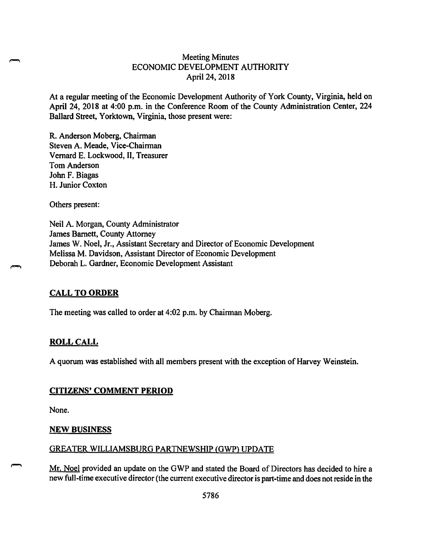# Meeting Minutes ECONOMIC DEVELOPMENT AUTHORITY April 24, 2018

At a regular meeting of the Economic Development Authority of York County, Virginia, held on April 24, 2018 at 4:00 p.m. in the Conference Room of the County Administration Center, 224 Ballard Street, Yorktown, Virginia, those present were:

R. Anderson Moberg, Chairman Steven A. Meade, Vice-Chairman Vernard E. Lockwood, II, Treasurer Tom Anderson John F. Biagas H. Junior Coxton

Others present:

Neil A. Morgan, County Administrator James Barnett, County Attorney James W. Noel, Jr., Assistant Secretary and Director of Economic Development Melissa M. Davidson, Assistant Director of Economic Development Deborah L. Gardner, Economic Development Assistant

## **CALL TO ORDER**

The meeting was called to order at 4:02 p.m. by Chairman Moberg.

### **ROLL CALL**

A quorum was established with all members present with the exception of Harvey Weinstein.

#### **CITIZENS' COMMENT PERIOD**

None.

#### **NEW BUSINESS**

#### GREATER WILLIAMSBURG PARTNEWSHIP (GWP) UPDATE

Mr. Noel provided an update on the GWP and stated the Board of Directors has decided to hire a new full-time executive director (the current executive director is part-time and does not reside in the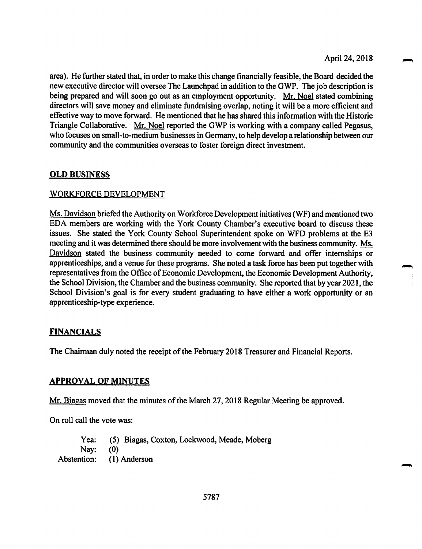area). He further stated that, in order to make this change financially feasible, the Board decided the new executive director will oversee The Launchpad in addition to the GWP. The job description is being prepared and will soon go out as an employment opportunity. Mr. Noel stated combining directors will save money and eliminate fundraising overlap, noting it will be a more efficient and effective way to move forward. He mentioned that he has shared this information with the Historic Triangle Collaborative. Mr. Noel reported the GWP is working with a company called Pegasus, who focuses on small-to-medium businesses in Germany, to help develop a relationship between our community and the communities overseas to foster foreign direct investment.

## **OLD BUSINESS**

### WORKFORCE DEVELOPMENT

Ms. Davidson briefed the Authority on Workforce Development initiatives (WF) and mentioned two EDA members are working with the York County Chamber's executive board to discuss these issues. She stated the York County School Superintendent spoke on WFD problems at the E3 meeting and it was determined there should be more involvement with the business community. Ms. Davidson stated the business community needed to come forward and offer internships or apprenticeships, and a venue for these programs. She noted a task force has been put together with representatives from the Office of Economic Development, the Economic Development Authority, the School Division, the Chamber and the business community. She reported that by year 2021, the School Division's goal is for every student graduating to have either a work opportunity or an apprenticeship-type experience.

## **FINANCIALS**

The Chairman duly noted the receipt of the February 2018 Treasurer and Financial Reports.

### **APPROVAL OF MINUTES**

Mr. Biagas moved that the minutes of the March 27, 2018 Regular Meeting be approved.

On roll call the vote was:

Yea: (5) Biagas, Coxton, Lockwood, Meade, Moberg Nay: (0) Abstention: (1) Anderson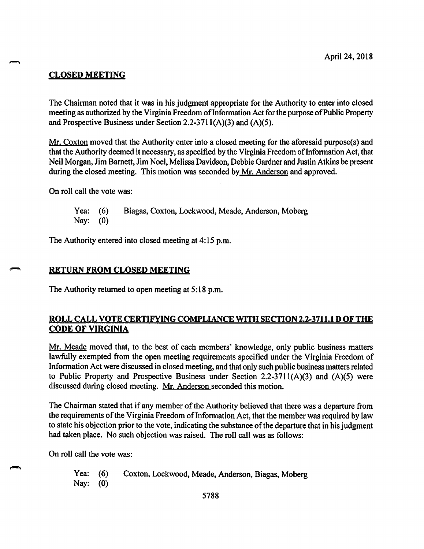# **CLOSED MEETING**

The Chairman noted that it was in his judgment appropriate for the Authority to enter into closed meeting as authorized by the Virginia Freedom of Information Act for the purpose of Public Property and Prospective Business under Section 2.2-3711( $A$ )(3) and ( $A$ )(5).

Mr. Coxton moved that the Authority enter into a closed meeting for the aforesaid purpose(s) and that the Authority deemed it necessary, as specified by the Virginia Freedom of Information Act, that Neil Morgan, Jim Barnett, Jim Noel, Melissa Davidson, Debbie Gardner and Justin Atkins be present during the closed meeting. This motion was seconded by Mr. Anderson and approved.

On roll call the vote was:

Yea: (6) Biagas, Coxton, Lockwood, Meade, Anderson, Moberg Nay: (0)

The Authority entered into closed meeting at 4:15 p.m.

#### **RETURN FROM CLOSED MEETING**

The Authority returned to open meeting at 5:18 p.m.

## **ROLL CALL VOTE CERTIFYING COMPLIANCE WITH SECTION 2.2-3711.1 D OF THE CODE OF VIRGINIA**

Mr. Meade moved that, to the best of each members' knowledge, only public business matters lawfully exempted from the open meeting requirements specified under the Virginia Freedom of Information Act were discussed in closed meeting, and that only such public business matters related to Public Property and Prospective Business under Section 2.2-3711( $A$ )(3) and ( $A$ )(5) were discussed during closed meeting. Mr. Anderson seconded this motion.

The Chairman stated that if any member of the Authority believed that there was a departure from the requirements of the Virginia Freedom of Information Act, that the member was required by law to state his objection prior to the vote, indicating the substance of the departure that in his judgment had taken place. No such objection was raised. The roll call was as follows:

On roll call the vote was:

Yea: (6) Coxton, Lockwood, Meade, Anderson, Biagas, Moberg Nay: (0)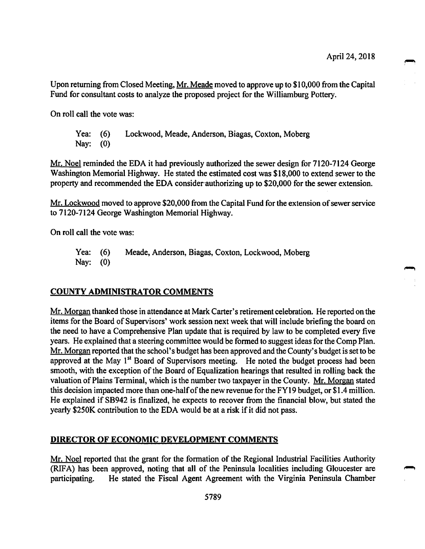Upon returning from Closed Meeting, Mr. Meade moved to approve up to \$10,000 from the Capital Fund for consultant costs to analyze the proposed project for the Williamburg Pottery.

On roll call the vote was:

Yea: (6) Lockwood, Meade, Anderson, Biagas, Coxton, Moberg Nay: (0)

Mr. Noel reminded the EDA it had previously authorized the sewer design for 7120-7124 George Washington Memorial Highway. He stated the estimated cost was \$18,000 to extend sewer to the property and recommended the EDA consider authorizing up to \$20,000 for the sewer extension.

Mr. Lockwood moved to approve \$20,000 from the Capital Fund for the extension of sewer service to 7120-7124 George Washington Memorial Highway.

On roll call the vote was:

Yea: (6) Meade, Anderson, Biagas, Coxton, Lockwood, Moberg Nay: (0)

### **COUNTY ADMINISTRATOR COMMENTS**

Mr. Morgan thanked those in attendance at Mark Carter's retirement celebration. He reported on the items for the Board of Supervisors' work session next week that will include briefing the board on the need to have a Comprehensive Plan update that is required by law to be completed every five years. He explained that a steering committee would be formed to suggest ideas for the Comp Plan. Mr. Morgan reported that the school's budget has been approved and the County's budget is set to be approved at the May 1<sup>st</sup> Board of Supervisors meeting. He noted the budget process had been smooth, with the exception of the Board of Equalization hearings that resulted in rolling back the valuation of Plains Terminal, which is the number two taxpayer in the County. Mr. Morgan stated this decision impacted more than one-half of the new revenue for the FY19 budget, or \$1.4 million. He explained if SB942 is finalized, he expects to recover from the financial blow, but stated the yearly \$250K contribution to the EDA would be at a risk if it did not pass.

#### **DIRECTOR OF ECONOMIC DEVELOPMENT COMMENTS**

Mr. Noel reported that the grant for the formation of the Regional Industrial Facilities Authority (RIFA) has been approved, noting that all of the Peninsula localities including Gloucester are participating. He stated the Fiscal Agent Agreement with the Virginia Peninsula Chamber